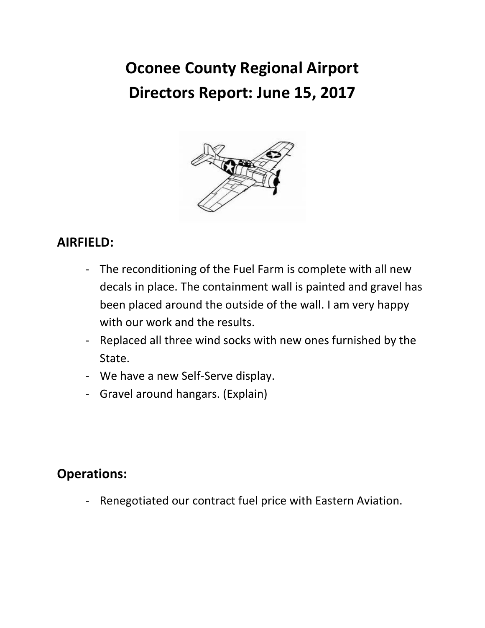# **Oconee County Regional Airport Directors Report: June 15, 2017**



## **AIRFIELD:**

- The reconditioning of the Fuel Farm is complete with all new decals in place. The containment wall is painted and gravel has been placed around the outside of the wall. I am very happy with our work and the results.
- Replaced all three wind socks with new ones furnished by the State.
- We have a new Self-Serve display.
- Gravel around hangars. (Explain)

## **Operations:**

- Renegotiated our contract fuel price with Eastern Aviation.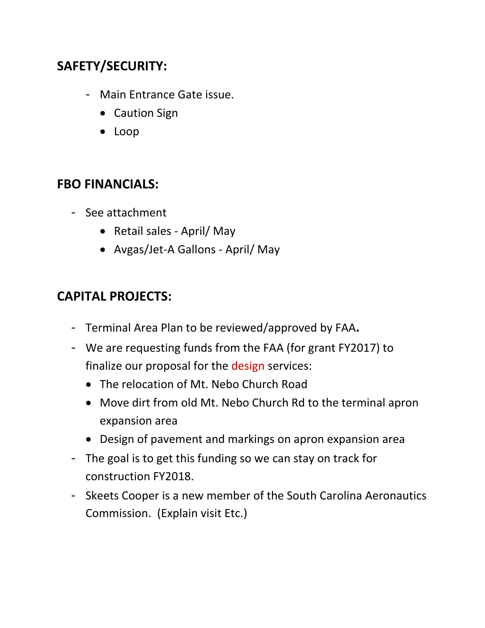# **SAFETY/SECURITY:**

- Main Entrance Gate issue.
	- Caution Sign
	- Loop

#### **FBO FINANCIALS:**

- See attachment
	- Retail sales April/ May
	- Avgas/Jet-A Gallons April/ May

## **CAPITAL PROJECTS:**

- Terminal Area Plan to be reviewed/approved by FAA**.**
- We are requesting funds from the FAA (for grant FY2017) to finalize our proposal for the design services:
	- The relocation of Mt. Nebo Church Road
	- Move dirt from old Mt. Nebo Church Rd to the terminal apron expansion area
	- Design of pavement and markings on apron expansion area
- The goal is to get this funding so we can stay on track for construction FY2018.
- Skeets Cooper is a new member of the South Carolina Aeronautics Commission. (Explain visit Etc.)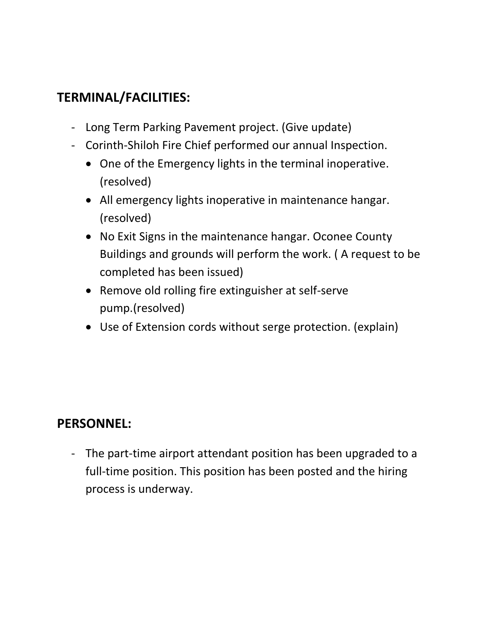# **TERMINAL/FACILITIES:**

- Long Term Parking Pavement project. (Give update)
- Corinth-Shiloh Fire Chief performed our annual Inspection.
	- One of the Emergency lights in the terminal inoperative. (resolved)
	- All emergency lights inoperative in maintenance hangar. (resolved)
	- No Exit Signs in the maintenance hangar. Oconee County Buildings and grounds will perform the work. ( A request to be completed has been issued)
	- Remove old rolling fire extinguisher at self-serve pump.(resolved)
	- Use of Extension cords without serge protection. (explain)

## **PERSONNEL:**

- The part-time airport attendant position has been upgraded to a full-time position. This position has been posted and the hiring process is underway.